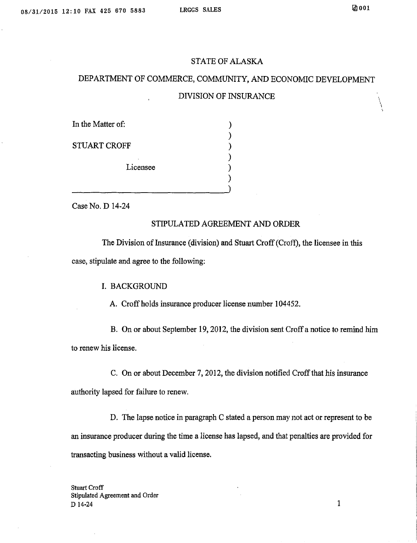'<br>ו

#### STATE OF ALASKA

# DEPARTMENT OF COMMERCE, COMMUNITY, AND ECONOMIC DEVELOPMENT

### DIVISION OF INSURANCE

| In the Matter of:   |  |
|---------------------|--|
|                     |  |
| <b>STUART CROFF</b> |  |
|                     |  |
| Licensee            |  |
|                     |  |
|                     |  |

Case No. D 14-24

## STIPULATED AGREEMENT AND ORDER

The Division of Insurance (division) and Stuart Croff (Croff), the licensee in this case, stipulate and agree to the following:

### I. BACKGROUND

A. Croff holds insurance producer license number 104452.

B. On or about September 19, 2012, the division sent Croff a notice to remind him to renew his license.

C. On or about December 7, 2012, the division notified Croff that his insurance authority lapsed for failure to renew.

D. The lapse notice in paragraph C stated a person may not act or represent to be an insurance producer during the time a license has lapsed, and that penalties are provided for transacting business without a valid license.

Stuart Croff Stipulated Agreement and Order  $D$  14-24 1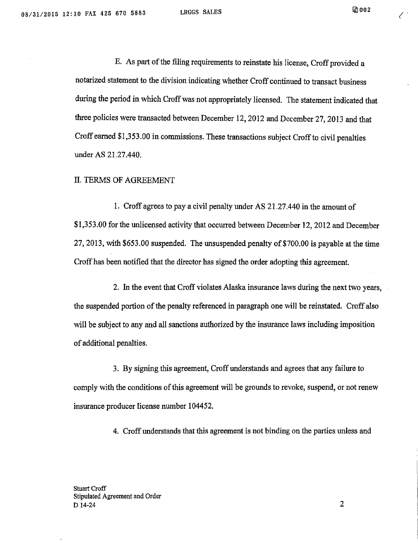('

E. As part of the filing requirements to reinstate his license, Croff provided a notarized statement to the division indicating whether Croff continued to transact business during the period in which Croff was not appropriately licensed. The statement indicated that three policies were transacted between December 12, 2012 and December 27, 2013 and that Croff earned \$1,353.00 in commissions. These transactions subject Croff to civil penalties under AS 21.27.440.

II. TERMS OF AGREEMENT

1. Croff agrees to pay a civil penalty under AS 21.27.440 in the amount of \$1,353 .00 for the unlicensed activity that occurred between December 12, 2012 and December 27, 2013, with \$653.00 suspended. The unsuspended penalty of \$700.00 is payable at the time Croff has been notified that the director has signed the order adopting this agreement.

2. In the event that Croff violates Alaska insurance laws during the next two years, the suspended portion of the penalty referenced in paragraph one will be reinstated. Croff also will be subject to any and all sanctions authorized by the insurance laws including imposition of additional penalties.

3. By signing this agreement, Croff understands and agrees that any failure to comply with the conditions of this agreement will be grounds to revoke, suspend, or not renew insurance producer license number 104452.

4. Croff understands that this agreement is not binding on the parties unless and

Stuart Croff Stipulated Agreement and Order  $D$  14-24 2